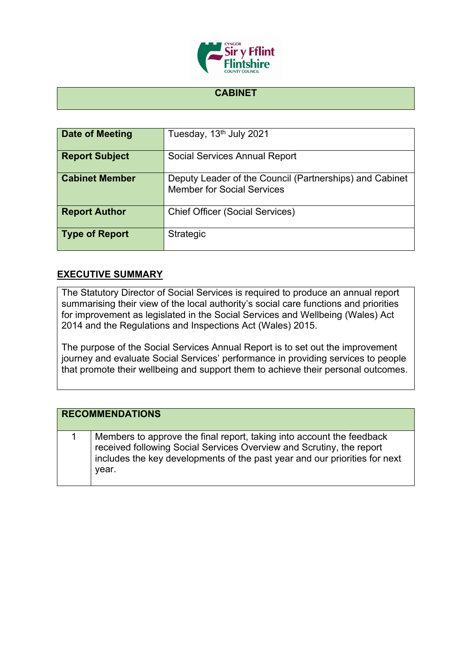

## **CABINET**

| Date of Meeting       | Tuesday, 13 <sup>th</sup> July 2021                                                          |
|-----------------------|----------------------------------------------------------------------------------------------|
| <b>Report Subject</b> | <b>Social Services Annual Report</b>                                                         |
| <b>Cabinet Member</b> | Deputy Leader of the Council (Partnerships) and Cabinet<br><b>Member for Social Services</b> |
| <b>Report Author</b>  | <b>Chief Officer (Social Services)</b>                                                       |
| <b>Type of Report</b> | Strategic                                                                                    |

## **EXECUTIVE SUMMARY**

The Statutory Director of Social Services is required to produce an annual report summarising their view of the local authority's social care functions and priorities for improvement as legislated in the Social Services and Wellbeing (Wales) Act 2014 and the Regulations and Inspections Act (Wales) 2015.

The purpose of the Social Services Annual Report is to set out the improvement journey and evaluate Social Services' performance in providing services to people that promote their wellbeing and support them to achieve their personal outcomes.

| <b>RECOMMENDATIONS</b> |                                                                                                                                                                                                                                      |
|------------------------|--------------------------------------------------------------------------------------------------------------------------------------------------------------------------------------------------------------------------------------|
|                        | Members to approve the final report, taking into account the feedback<br>received following Social Services Overview and Scrutiny, the report<br>includes the key developments of the past year and our priorities for next<br>year. |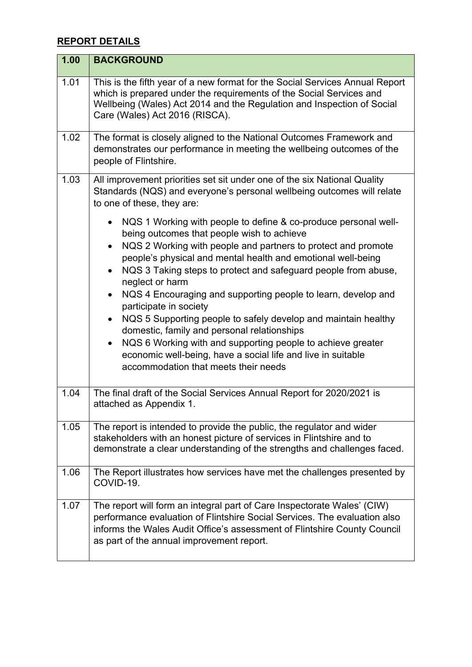## **REPORT DETAILS**

| 1.00 | <b>BACKGROUND</b>                                                                                                                                                                                                                                                             |
|------|-------------------------------------------------------------------------------------------------------------------------------------------------------------------------------------------------------------------------------------------------------------------------------|
| 1.01 | This is the fifth year of a new format for the Social Services Annual Report<br>which is prepared under the requirements of the Social Services and<br>Wellbeing (Wales) Act 2014 and the Regulation and Inspection of Social<br>Care (Wales) Act 2016 (RISCA).               |
| 1.02 | The format is closely aligned to the National Outcomes Framework and<br>demonstrates our performance in meeting the wellbeing outcomes of the<br>people of Flintshire.                                                                                                        |
| 1.03 | All improvement priorities set sit under one of the six National Quality<br>Standards (NQS) and everyone's personal wellbeing outcomes will relate<br>to one of these, they are:                                                                                              |
|      | NQS 1 Working with people to define & co-produce personal well-<br>being outcomes that people wish to achieve                                                                                                                                                                 |
|      | NQS 2 Working with people and partners to protect and promote<br>$\bullet$<br>people's physical and mental health and emotional well-being                                                                                                                                    |
|      | NQS 3 Taking steps to protect and safeguard people from abuse,<br>$\bullet$<br>neglect or harm                                                                                                                                                                                |
|      | NQS 4 Encouraging and supporting people to learn, develop and<br>$\bullet$<br>participate in society                                                                                                                                                                          |
|      | NQS 5 Supporting people to safely develop and maintain healthy<br>$\bullet$<br>domestic, family and personal relationships                                                                                                                                                    |
|      | NQS 6 Working with and supporting people to achieve greater<br>$\bullet$<br>economic well-being, have a social life and live in suitable<br>accommodation that meets their needs                                                                                              |
| 1.04 | The final draft of the Social Services Annual Report for 2020/2021 is                                                                                                                                                                                                         |
|      | attached as Appendix 1.                                                                                                                                                                                                                                                       |
| 1.05 | The report is intended to provide the public, the regulator and wider<br>stakeholders with an honest picture of services in Flintshire and to<br>demonstrate a clear understanding of the strengths and challenges faced.                                                     |
| 1.06 | The Report illustrates how services have met the challenges presented by<br>COVID-19.                                                                                                                                                                                         |
| 1.07 | The report will form an integral part of Care Inspectorate Wales' (CIW)<br>performance evaluation of Flintshire Social Services. The evaluation also<br>informs the Wales Audit Office's assessment of Flintshire County Council<br>as part of the annual improvement report. |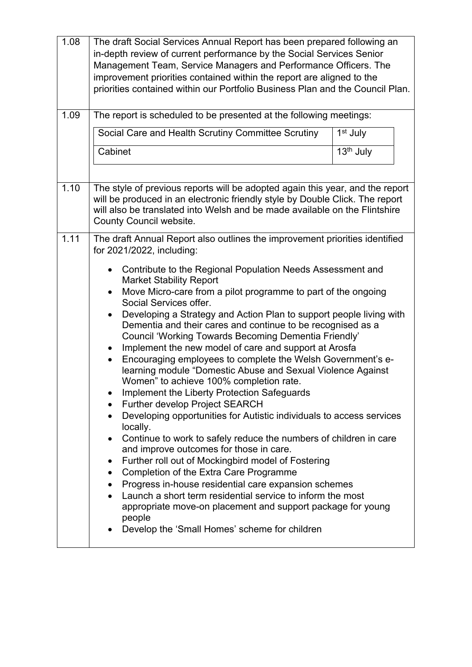| 1.08 | The draft Social Services Annual Report has been prepared following an<br>in-depth review of current performance by the Social Services Senior<br>Management Team, Service Managers and Performance Officers. The<br>improvement priorities contained within the report are aligned to the<br>priorities contained within our Portfolio Business Plan and the Council Plan.                                                                                                                                                                                                                                                                                                                                                                                                                                                                                                                                                                                                                                                                                                                                                                                                                                                                                                                                                  |                       |
|------|------------------------------------------------------------------------------------------------------------------------------------------------------------------------------------------------------------------------------------------------------------------------------------------------------------------------------------------------------------------------------------------------------------------------------------------------------------------------------------------------------------------------------------------------------------------------------------------------------------------------------------------------------------------------------------------------------------------------------------------------------------------------------------------------------------------------------------------------------------------------------------------------------------------------------------------------------------------------------------------------------------------------------------------------------------------------------------------------------------------------------------------------------------------------------------------------------------------------------------------------------------------------------------------------------------------------------|-----------------------|
| 1.09 | The report is scheduled to be presented at the following meetings:                                                                                                                                                                                                                                                                                                                                                                                                                                                                                                                                                                                                                                                                                                                                                                                                                                                                                                                                                                                                                                                                                                                                                                                                                                                           |                       |
|      | Social Care and Health Scrutiny Committee Scrutiny                                                                                                                                                                                                                                                                                                                                                                                                                                                                                                                                                                                                                                                                                                                                                                                                                                                                                                                                                                                                                                                                                                                                                                                                                                                                           | 1 <sup>st</sup> July  |
|      | Cabinet                                                                                                                                                                                                                                                                                                                                                                                                                                                                                                                                                                                                                                                                                                                                                                                                                                                                                                                                                                                                                                                                                                                                                                                                                                                                                                                      | 13 <sup>th</sup> July |
|      |                                                                                                                                                                                                                                                                                                                                                                                                                                                                                                                                                                                                                                                                                                                                                                                                                                                                                                                                                                                                                                                                                                                                                                                                                                                                                                                              |                       |
| 1.10 | The style of previous reports will be adopted again this year, and the report<br>will be produced in an electronic friendly style by Double Click. The report<br>will also be translated into Welsh and be made available on the Flintshire<br>County Council website.                                                                                                                                                                                                                                                                                                                                                                                                                                                                                                                                                                                                                                                                                                                                                                                                                                                                                                                                                                                                                                                       |                       |
| 1.11 | The draft Annual Report also outlines the improvement priorities identified<br>for 2021/2022, including:                                                                                                                                                                                                                                                                                                                                                                                                                                                                                                                                                                                                                                                                                                                                                                                                                                                                                                                                                                                                                                                                                                                                                                                                                     |                       |
|      | Contribute to the Regional Population Needs Assessment and<br>$\bullet$<br><b>Market Stability Report</b><br>Move Micro-care from a pilot programme to part of the ongoing<br>$\bullet$<br>Social Services offer.<br>Developing a Strategy and Action Plan to support people living with<br>Dementia and their cares and continue to be recognised as a<br>Council 'Working Towards Becoming Dementia Friendly'<br>Implement the new model of care and support at Arosfa<br>$\bullet$<br>Encouraging employees to complete the Welsh Government's e-<br>learning module "Domestic Abuse and Sexual Violence Against<br>Women" to achieve 100% completion rate.<br>Implement the Liberty Protection Safeguards<br>Further develop Project SEARCH<br>Developing opportunities for Autistic individuals to access services<br>locally.<br>Continue to work to safely reduce the numbers of children in care<br>and improve outcomes for those in care.<br>Further roll out of Mockingbird model of Fostering<br><b>Completion of the Extra Care Programme</b><br>٠<br>Progress in-house residential care expansion schemes<br>$\bullet$<br>Launch a short term residential service to inform the most<br>appropriate move-on placement and support package for young<br>people<br>Develop the 'Small Homes' scheme for children |                       |